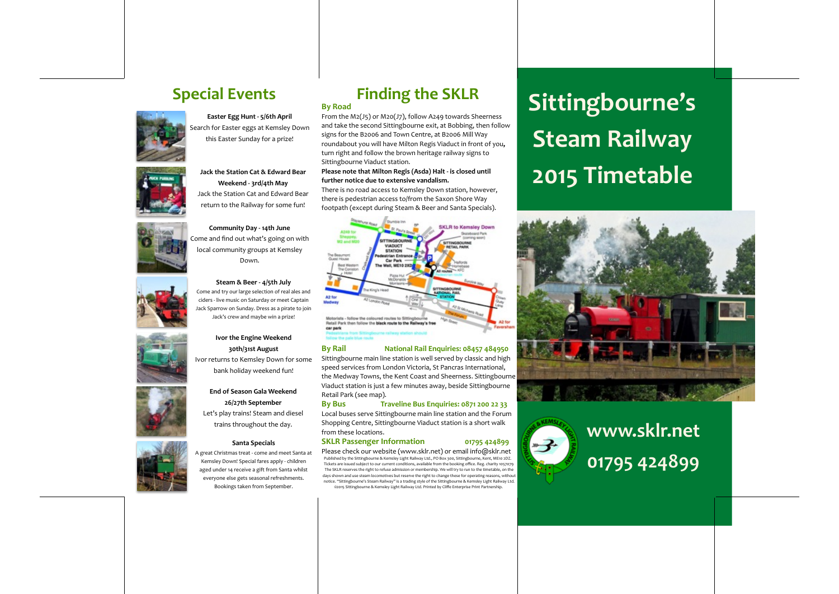

**Easter Egg Hunt - 5/6th April** Search for Easter eggs at Kemsley Down this Easter Sunday for a prize!



**Jack&the&Station&Cat&&&Edward&Bear&** Weekend - 3rd/4th May Jack the Station Cat and Edward Bear

return to the Railway for some fun!

**Community Day - 14th June** Come and find out what's going on with local community groups at Kemsley Down.



Steam & Beer - 4/5th July Come and try our large selection of real ales and ciders - live music on Saturday or meet Captain Jack Sparrow on Sunday. Dress as a pirate to join Jack's crew and maybe win a prize!







A great Christmas treat - come and meet Santa at Kemsley Down! Special fares apply - children aged under 14 receive a gift from Santa whilst everyone else gets seasonal refreshments. Bookings taken from September.

## **Finding the SKLR By Road**

From the M2(J5) or M20(J7), follow A249 towards Sheerness and take the second Sittingbourne exit, at Bobbing, then follow signs for the B2006 and Town Centre, at B2006 Mill Way roundabout you will have Milton Regis Viaduct in front of you. turn right and follow the brown heritage railway signs to Sittingbourne Viaduct station.

#### Please note that Milton Regis (Asda) Halt - is closed until further notice due to extensive vandalism.

There is no road access to Kemsley Down station, however, there is pedestrian access to/from the Saxon Shore Way footpath (except during Steam & Beer and Santa Specials).



#### **By&Rail&&** %%%%%%%%**National&Rail&Enquiries:&08457&484950**

Sittingbourne main line station is well served by classic and high speed services from London Victoria, St Pancras International, the Medway Towns, the Kent Coast and Sheerness. Sittingbourne Viaduct station is just a few minutes away, beside Sittingbourne Retail Park (see map).

#### **By&Bus&& &&&&&Traveline&Bus&Enquiries:&0871&200&22&33&** Local buses serve Sittingbourne main line station and the Forum

Shopping Centre, Sittingbourne Viaduct station is a short walk from these locations.

The SKLR reserves the right to refuse admission or membership. We will try to run to the timetable, on the days shown and use steam locomotives but reserve the right to change these for operating reasons, without notice. "Sittingbourne's Steam Railway" is a trading style of the Sittingbourne & Kemsley Light Railway Ltd. ©2015 Sittingbourne & Kemsley Light Railway Ltd. Printed by Cliffe Enterprise Print Partnership.

#### **SKLR Passenger Information** 01795 424899

# Special Events **Such and Sittingbourne's Steam Railway 2015 Timetable**





# **www.sklr.net& 01795&424899**

## **30th/31st&August&** Ivor returns to Kemsley Down for some bank holiday weekend fun!

**End of Season Gala Weekend** 26/27th September Let's play trains! Steam and diesel trains throughout the day.

### **Santa Specials**



**Ivor the Engine Weekend**